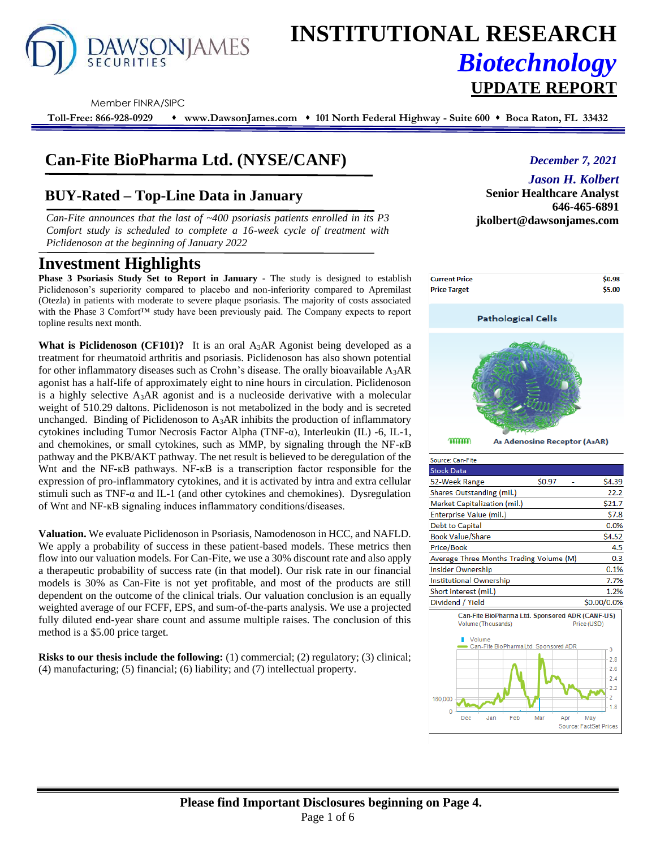

# **INSTITUTIONAL RESEARCH** *Biotechnology*

#### Member FINRA/SIPC

**Toll-Free: 866-928-0929** ⬧ **www.DawsonJames.com** ⬧ **101 North Federal Highway - Suite 600** ⬧ **Boca Raton, FL 33432**

# **Can-Fite BioPharma Ltd. (NYSE/CANF)**

# **BUY-Rated – Top-Line Data in January**

*Can-Fite announces that the last of ~400 psoriasis patients enrolled in its P3* **jkolbert@dawsonjames.com** *Comfort study is scheduled to complete a 16-week cycle of treatment with Piclidenoson at the beginning of January 2022*

# **Investment Highlights**

**Phase 3 Psoriasis Study Set to Report in January** - The study is designed to establish Piclidenoson's superiority compared to placebo and non-inferiority compared to Apremilast (Otezla) in patients with moderate to severe plaque psoriasis. The majority of costs associated with the Phase 3 Comfort™ study have been previously paid. The Company expects to report topline results next month.

**What is Piclidenoson (CF101)?** It is an oral  $A_3AR$  Agonist being developed as a treatment for rheumatoid arthritis and psoriasis. Piclidenoson has also shown potential for other inflammatory diseases such as Crohn's disease. The orally bioavailable  $A_3AR$ agonist has a half-life of approximately eight to nine hours in circulation. Piclidenoson is a highly selective A3AR agonist and is a nucleoside derivative with a molecular weight of 510.29 daltons. Piclidenoson is not metabolized in the body and is secreted unchanged. Binding of Piclidenoson to  $A_3AR$  inhibits the production of inflammatory cytokines including Tumor Necrosis Factor Alpha (TNF-α), Interleukin (IL) -6, IL-1, and chemokines, or small cytokines, such as MMP, by signaling through the NF-кB pathway and the PKB/AKT pathway. The net result is believed to be deregulation of the Whet and the NF-kB pathways. NF-kB is a transcription factor responsible for the expression of pro-inflammatory cytokines, and it is activated by intra and extra cellular stimuli such as TNF-α and IL-1 (and other cytokines and chemokines). Dysregulation of Wnt and NF-кB signaling induces inflammatory conditions/diseases.

**Valuation.** We evaluate Piclidenoson in Psoriasis, Namodenoson in HCC, and NAFLD. We apply a probability of success in these patient-based models. These metrics then flow into our valuation models. For Can-Fite, we use a 30% discount rate and also apply a therapeutic probability of success rate (in that model). Our risk rate in our financial models is 30% as Can-Fite is not yet profitable, and most of the products are still dependent on the outcome of the clinical trials. Our valuation conclusion is an equally weighted average of our FCFF, EPS, and sum-of-the-parts analysis. We use a projected fully diluted end-year share count and assume multiple raises. The conclusion of this method is a \$5.00 price target.

**Risks to our thesis include the following:** (1) commercial; (2) regulatory; (3) clinical; (4) manufacturing; (5) financial; (6) liability; and (7) intellectual property.

## *December 7, 2021*

### *Jason H. Kolbert*

**Senior Healthcare Analyst 646-465-6891**

**UPDATE REPORT**



Can-Fite BioPharma Ltd. Sponsored ADR (CANF-US)

Mar

Anr

Can-Fite BioPharmaLtd, Sponsored ADF

Feb

0.1%

7.7%

1.2%

3  $2.8$  $2.6$  $2.4$  $2.2$  $\overline{2}$ 

1.8

\$0.00/0.0%

Price (USD)

May Source: FactSet Prices

Insider Ownership

Short interest (mil.)

I. Volume

Dec

160,000

Dividend / Yield

Institutional Ownership

Volume (Thousands)

Jan

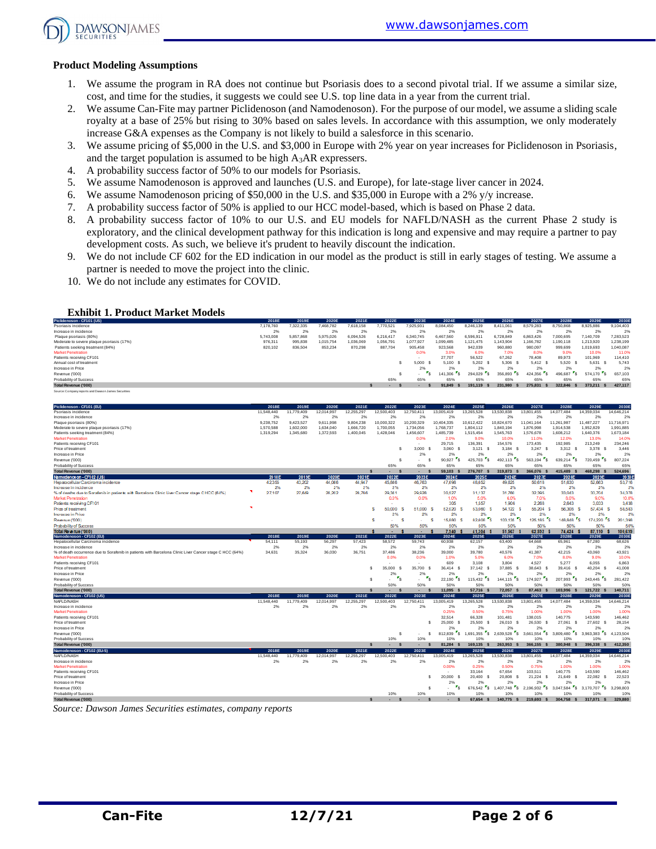

#### **Product Modeling Assumptions**

- 1. We assume the program in RA does not continue but Psoriasis does to a second pivotal trial. If we assume a similar size, cost, and time for the studies, it suggests we could see U.S. top line data in a year from the current trial.
- 2. We assume Can-Fite may partner Piclidenoson (and Namodenoson). For the purpose of our model, we assume a sliding scale royalty at a base of 25% but rising to 30% based on sales levels. In accordance with this assumption, we only moderately increase G&A expenses as the Company is not likely to build a salesforce in this scenario.
- 3. We assume pricing of \$5,000 in the U.S. and \$3,000 in Europe with 2% year on year increases for Piclidenoson in Psoriasis, and the target population is assumed to be high A3AR expressers.
- 4. A probability success factor of 50% to our models for Psoriasis.
- 5. We assume Namodenoson is approved and launches (U.S. and Europe), for late-stage liver cancer in 2024.
- 6. We assume Namodenoson pricing of \$50,000 in the U.S. and \$35,000 in Europe with a 2% y/y increase.
- 7. A probability success factor of 50% is applied to our HCC model-based, which is based on Phase 2 data.
- 8. A probability success factor of 10% to our U.S. and EU models for NAFLD/NASH as the current Phase 2 study is exploratory, and the clinical development pathway for this indication is long and expensive and may require a partner to pay development costs. As such, we believe it's prudent to heavily discount the indication.
- 9. We do not include CF 602 for the ED indication in our model as the product is still in early stages of testing. We assume a partner is needed to move the project into the clinic.
- 10. We do not include any estimates for COVID.

#### **Exhibit 1. Product Market Models**

| Piclidenoson - CF101 (US)                           | 2018E     | 2019E     | 2020E     | 2021E     | 2022E     | 2023E     | 2024E     | 2025E     | 2026E     | 2027E     | 2028E     | 2029E     | 2030E     |
|-----------------------------------------------------|-----------|-----------|-----------|-----------|-----------|-----------|-----------|-----------|-----------|-----------|-----------|-----------|-----------|
| Psoriasis incidence                                 | 7.178.760 | 322.335   | 468.782   | 7.618.158 | 7.770.521 | 925.931   | 8.084.450 | 8.246.139 | 8.411.061 | 8.579.283 | 8.750.868 | 8,925,886 | 9.104.403 |
| Increase in incidence                               | 2%        | 2%        | 2%        | 2%        | 2%        | 2%        | 2%        | 2%        | 2%        | 2%        | 2%        | 2%        | 2%        |
| Plaque psoriasis (80%)                              | 5.743.008 | 5.857.868 | 5.975.026 | 6.094.526 | 6.216.417 | 6.340.745 | 6.467.560 | 6,596.91  | 6.728.849 | 6.863.426 | 000.695   | 7.140.709 | 7.283.523 |
| Moderate to severe plaque psoriasis (17%)           | 976.311   | 995.838   | 1.015.754 | 1.036.069 | 1.056.791 | 1.077.927 | 1,099,485 | 1.121.475 | 1,143,904 | ,166,782  | ,190,118  | 1.213.920 | 1.238.199 |
| Patients seeking treatment (84%)                    | 820,102   | 836,504   | 853,234   | 870,298   | 887.704   | 905,458   | 923.568   | 942,039   | 960,880   | 980,097   | 999,699   | 1,019,693 | 1.040.087 |
| <b>Market Penetration</b>                           |           |           |           |           |           | 0.0%      | 3.0%      | 6.0%      | 7.0%      | 8.0%      | 9.0%      | 10.0%     | 11.0%     |
| Patients receiving CF101                            |           |           |           |           |           |           | 27,707    | 56,522    | 67.262    | 78,408    | 89.973    | 101.969   | 114,410   |
| Annual cost of treatment                            |           |           |           |           |           | 5.000     | 5.100     | 5.202     | 5.306     | 5.412 S   | 5.520     | 5.631     | 5.743     |
| Increase in Price                                   |           |           |           |           |           | 2%        | 2%        | 2%        | 2%        | 2%        | 2%        | 2%        | 2%        |
| Revenue ('000)                                      |           |           |           |           |           | . .       | 141,306   | 294.029   | 356,893   | 424,356   | 496.687   | 574.170 S | 657.103   |
| Probability of Success                              |           |           |           |           | 65%       | 65%       | 65%       | 65%       | 65%       | 65%       | 65%       | 65%       | 65%       |
| Total Revenue ('000)                                |           |           |           |           |           |           | 91.849    | 191.119   | 231.980   | 275,831   | 322.846   | 373.211   | 427,117   |
| Source: Company reports and Dawson James Securities |           |           |           |           |           |           |           |           |           |           |           |           |           |

| Piclidenoson - CF101 (EU)                                                                               | 2018E      | 2019E      | 2020E      | 2021E        | 2022E                  | 2023E                                               | 2024E                               | 2025E                                | 2026E                                  | 2027E                              | 2028E                                | 2029E                                | 2030E          |
|---------------------------------------------------------------------------------------------------------|------------|------------|------------|--------------|------------------------|-----------------------------------------------------|-------------------------------------|--------------------------------------|----------------------------------------|------------------------------------|--------------------------------------|--------------------------------------|----------------|
| Psoriasis incidence                                                                                     | 11,548,440 | 11,779,409 | 12.014.997 | 12,255,297   | 12.500.403             | 12.750.411                                          | 13,005,419                          | 13,265,528                           | 13,530,838                             | 13,801,455                         | 14.077.484                           | 14,359,034                           | 14,646.214     |
| Increase in incidence                                                                                   | 2%         | 2%         | 2%         | 2%           | 2%                     | 2%                                                  | 2%                                  | 2%                                   | 2%                                     | 2%                                 | 2%                                   | 2%                                   | 2%             |
| Plague psoriasis (80%)                                                                                  | 9.238.752  | 9.423.527  | 9.611.998  | 9.804.238    | 10.000.322             | 10.200.329                                          | 10.404.335                          | 10.612.422                           | 10.824.670                             | 11.041.164                         | 11.261.987                           | 11,487,227                           | 11.716.971     |
| Moderate to severe plaque psoriasis (17%)                                                               | 1,570,588  | 1,602,000  | 1,634,040  | 1,666,720    | 1,700,055              | 1,734,056                                           | 1,768,737                           | 1,804,112                            | 1,840,194                              | 1,876,998                          | 1,914,538                            | 1,952,829                            | 1,991,885      |
| Patients seeking treatment (84%)                                                                        | 1,319,294  | 1,345,680  | 1,372,593  | 1,400,045    | 1,428,046              | 1,456,607                                           | 1,485,739                           | 1,515,454                            | 1,545,763                              | 1,576,678                          | 1,608,212                            | 1,640,376                            | 1,673,184      |
| <b>Market Penetration</b>                                                                               |            |            |            |              |                        | 0.0%                                                | 2.0%                                | 9.0%                                 | 10.0%                                  | 11.0%                              | 12.0%                                | 13.0%                                | 14.0%          |
| Patients receiving CF101                                                                                |            |            |            |              |                        |                                                     | 29.715                              | 136,391                              | 154,576                                | 173,435                            | 192,985                              | 213,249                              | 234,246        |
| Price of treatment                                                                                      |            |            |            |              | s                      | 3.000<br>- \$                                       | 3.060 \$                            | $3,121$ \$                           | $3,184$ \$                             | 3,247<br>s                         | 3.312 S                              | 3.378 S                              | 3.446          |
| Increase in Price                                                                                       |            |            |            |              |                        | 2%                                                  | 2%                                  | 2%                                   | 2%                                     | 2%                                 | 2%                                   | 2%                                   | 2%             |
| Revenue ('000)                                                                                          |            |            |            |              | s                      | \$.<br>$\overline{\phantom{a}}$                     | $\mathbf{r}_\mathsf{S}$<br>90.927   | $\mathbf{r}_\mathbf{S}$<br>425.703   | $\mathbf{r}_\mathbf{S}$<br>492.113     | $\mathbf{r}_\mathbf{S}$<br>563,194 | 639,214 5                            | 720,459 \$                           | 807,224        |
| Probability of Success                                                                                  |            |            |            |              | 65%                    | 65%                                                 | 65%                                 | 65%                                  | 65%                                    | 65%                                | 65%                                  | 65%                                  | 65%            |
| Total Revenue ('000)                                                                                    |            |            |            | $\mathbf{s}$ | $\mathbf{s}$<br>$\sim$ | $\mathbf{s}$<br>$\sim$                              | $59,103$ \$                         | 276,707 \$                           | 319,873 \$                             | 366,076 \$                         | 415.489 \$                           | 468.298 \$                           | 524,696        |
| Namodenos on - CF1 02 (US)                                                                              | 2018E      | 2019E      | 2020E      | 2021E        | 2022E                  | 2023E                                               | 2024E                               | 2025E                                | 2026E                                  | 2027E                              | 2028E                                | 2029E                                | 20305          |
| Hepatocellular Carcinoma incidence                                                                      | 42,355     | 43,202     | 44,066     | 44.947       | 45,846                 | 46,763                                              | 47,698                              | 48,652                               | 49.625                                 | 50,618                             | 51,630                               | 52,663                               | 53,716         |
| Increase in incidence                                                                                   | 2%         | 2%         | 2%         | 2%           | 2%                     | 2%                                                  | 2%                                  | 2%                                   | 2%                                     | 2%                                 | 2%                                   | 2%                                   | 2%             |
| % of deaths due to Sorafenib in patients with Barcelona Clinic Liver Cancer stage CHCC (64%)            | 27,107     | 27,649     | 28,202     | 28,766       | 29,341                 | 29,928<br>0.0%                                      | 30,527                              | 31.137<br>5.0%                       | 31,760<br>6.0%                         | 32,395                             | 33,043                               | 33,704<br>9.0%                       | 34,378         |
| Market Penetration<br>Patients receiving CF101                                                          |            |            |            |              | 0.0%                   |                                                     | 1.0%<br>305                         | 1,557                                | 1,906                                  | 7.0%<br>2,268                      | 8.0%<br>2.643                        | 3.033                                | 10.0%<br>3,438 |
|                                                                                                         | ×          |            |            |              |                        |                                                     |                                     |                                      |                                        |                                    |                                      |                                      |                |
| Price of treatment<br><b>Increase</b> in Price                                                          |            |            |            |              | 50,000<br>s<br>2%      | 51,000<br>2%                                        | 52.020<br>s<br>2%                   | 53,060<br>s<br>2%                    | 54.122 S<br>2%                         | 55.204 S<br>2%                     | 56,308<br>2%                         | 57,434<br>s<br>2%                    | 58,583<br>2%   |
| Revenue ('000)                                                                                          |            |            |            |              | s<br>a.                | s<br>$\sim$                                         | 15,880<br>s                         | 82.608<br>s                          | 103,135                                | i Ts<br>125,185 S                  | 148,848                              | 174,220 S<br>r.                      | 201,398        |
| Probability of Success                                                                                  |            |            |            |              | 50%                    | 50%                                                 | 50%                                 | 50%                                  | 50%                                    | 50%                                | 50%                                  | 50%                                  | 50%            |
| Total Revenue ('000)                                                                                    |            |            |            |              | ٠                      | ٠                                                   | 7.940                               | 41.304 \$                            | 51,567 \$                              | 62.592 \$                          | 74.424                               | 87,110                               | 100,639        |
| Namodenoson - CF102 (EU)                                                                                | 2018E      | 2019E      | 2020E      | 2021E        | 2022E                  | 2023E                                               | 2024E                               | 2025E                                | 2026E                                  | 2027E                              | 2028E                                | 2029E                                | 2030E          |
| Hepatocellular Carcinoma incidence                                                                      | 54,111     | 55,193     | 56,297     | 57,423       | 58,572                 | 59,743                                              | 60,938                              | 62,157                               | 63,400                                 | 64,668                             | 65,961                               | 67,280                               | 68,626         |
| Increase in incidence                                                                                   | 2%         | 2%         | 2%         | 2%           | 2%                     | 2%                                                  | 2%                                  | 2%                                   | 2%                                     | 2%                                 | 2%                                   | 2%                                   | 2%             |
| % of death occurrence due to Sorafenib in patients with Barcelona Clinic Liver Cancer stage C HCC (64%) | 34,631     | 35.324     | 36,030     | 36.751       | 37,486                 | 38.236                                              | 39,000                              | 39,780                               | 40,576                                 | 41,387                             | 42.215                               | 43,060                               | 43,921         |
| <b>Market Penetration</b>                                                                               |            |            |            |              | 0.0%                   | 0.0%                                                | 1.0%                                | 5.0%                                 | 6.0%                                   | 7.0%                               | 8.0%                                 | 9.0%                                 | 10.0%          |
| Patients receiving CF101                                                                                |            |            |            |              |                        |                                                     | 609                                 | 3,108                                | 3.804                                  | 4,527                              | 5.277                                | 6.055                                | 6,863          |
| Price of treatment                                                                                      |            |            |            | s            | 35,000<br>-S           | 35,700<br>s                                         | 36.414<br>- \$                      | 37,142 \$                            | 37,885<br>- S                          | 38,643<br>- 5                      | 39.416 S                             | 40,204 \$                            | 41,008         |
| Increase in Price                                                                                       |            |            |            |              | 2%                     | 2%                                                  | 2%                                  | 2%                                   | 2%                                     | 2%                                 | 2%                                   | 2%                                   | 2%             |
| Revenue ('000)                                                                                          |            |            |            | s            | $r_{\rm s}$<br>ă.      | $\mathbf{r}_\mathbf{S}$<br>$\overline{\phantom{a}}$ | $\mathbf{r}_{\mathsf{S}}$<br>22.190 | •s.<br>115.432                       | $\mathbf{r}_{\mathsf{S}}$<br>144,115   | 174.927 S                          | $\mathbf{r}_\mathbf{S}$<br>207.993   | $243,445$ \$                         | 281.422        |
| Probability of Success                                                                                  |            |            |            |              | 50%                    | 50%                                                 | 50%                                 | 50%                                  | 50%                                    | 50%                                | 50%                                  | 50%                                  | 50%            |
| <b>Total Revenue ('000)</b>                                                                             |            |            |            | $\mathbf{s}$ | <b>S</b><br>×.         | $\mathbf{s}$<br>$\sim$                              | 11.095 \$                           | 57.716 \$                            | 72.057 \$                              | 87,463 \$                          | 103.996 \$                           | 121.722 \$                           | 140,711        |
| Namodenoson - CF102 (US)                                                                                | 2018E      | 2019E      | 2020E      | 2021E        | 2022E                  | 2023E                                               | 2024E                               | 2025E                                | 2026E                                  | 2027E                              | 2028E                                | 2029E                                | 2030E          |
| NAFLD/NASH                                                                                              | 11,548,440 | 11,779,409 | 12,014,997 | 12,255,297   | 12,500,403             | 12,750,411                                          | 13,005,419                          | 13,265,528                           | 13,530,838                             | 13,801,455                         | 14,077,484                           | 14,359,034                           | 14,646,214     |
| Increase in incidence                                                                                   | 2%         | 2%         | 2%         | 2%           | 2%                     | 2%                                                  | 2%                                  | 2%                                   | 2%                                     | 2%                                 | 2%                                   | 2%                                   | 2%             |
| <b>Market Penetration</b>                                                                               |            |            |            |              |                        |                                                     | 0.25%                               | 0.50%                                | 0.75%                                  | 1.00%                              | 1.00%                                | 1.00%                                | 1.00%          |
| Patients receiving CF101                                                                                |            |            |            |              |                        |                                                     | 32.514                              | 66,328                               | 101,481                                | 138,015                            | 140,775                              | 143,590                              | 146,462        |
| Price of treatment                                                                                      |            |            |            |              |                        | s                                                   | 25,000 \$                           | 25,500 \$                            | 26,010 \$                              | 26,530 \$                          | 27,061<br>- S                        | 27,602 \$                            | 28,154         |
| Increase in Price                                                                                       |            |            |            |              |                        |                                                     | 2%                                  | 2%                                   | 2%                                     | 2%                                 | 2%                                   | 2%                                   | 2%             |
| Revenue ('000)                                                                                          |            |            |            |              | s                      | s                                                   | $\cdot$ $\cdot$<br>812.839          | $\cdot$ $\cdot$ $\cdot$<br>1.691.355 | $\mathbf{r}_\mathbf{S}$<br>2.639.528   | $3.661.554$ S                      | $\mathbf{r}_\mathbf{S}$<br>3,809,480 | $\mathbf{r}_\mathbf{S}$<br>3.963.383 | 4.123.504      |
| Probability of Success                                                                                  |            |            |            |              | 10%                    | 10%                                                 | 10%                                 | 10%                                  | 10%                                    | 10%                                | 10%                                  | 10%                                  | 10%            |
| <b>Total Revenue ('000)</b>                                                                             |            |            |            | $\mathbf{s}$ | $\sim$<br>s            | $\sim$<br>s                                         | 81.284 \$                           | 169.135 \$                           | 263.953 \$                             | 366,155 S                          | 380.948 \$                           | 396,338 \$                           | 412,350        |
| Namodenoson - CF102 (EU-5)                                                                              | 2018E      | 2019E      | 2020E      | 2021E        | 2022E                  | 2023E                                               | 2024E                               | 2025E                                | 2026E                                  | 2027E                              | 2028E                                | 2029E                                | 2030E          |
| NAFLD/NASH                                                                                              | 11,548,440 | 11,779,409 | 12.014.997 | 12,255,297   | 12,500,403             | 12.750.411                                          | 13,005,419                          | 13,265,528                           | 13,530,838                             | 13,801,455                         | 14,077,484                           | 14,359,034                           | 14,646,214     |
| Increase in incidence                                                                                   | 2%         | 2%         | 2%         | 2%           | 2%                     | 2%                                                  | 2%                                  | 2%                                   | 2%                                     | 2%                                 | 2%                                   | 2%                                   | 2%             |
| <b>Market Penetration</b>                                                                               |            |            |            |              |                        |                                                     | 0.00%                               | 0.25%                                | 0.50%                                  | 0.75%                              | 1.00%                                | 1.00%                                | 1.00%          |
| Patients receiving CF101                                                                                |            |            |            |              |                        |                                                     |                                     | 33,164                               | 67,654                                 | 103,511                            | 140,775                              | 143,590                              | 146,462        |
| Price of treatment                                                                                      |            |            |            |              |                        | s                                                   | 20,000 \$                           | 20.400 S                             | 20,808<br>s                            | 21,224 \$                          | 21.649<br>- S                        | 22,082<br>-S                         | 22,523         |
| Increase in Price                                                                                       |            |            |            |              |                        |                                                     | 2%                                  | 2%                                   | 2%                                     | 2%                                 | 2%                                   | 2%                                   | 2%             |
| Revenue ('000)                                                                                          |            |            |            |              |                        | s                                                   | $\mathbf{r}_\mathbf{S}$             | 676,542                              | S 1.407.748<br>$\mathbf{r}_\mathbf{S}$ | 2,196,932 S                        | $\cdot$ $\cdot$ $\cdot$<br>3,047,584 | "s<br>3,170,707                      | 3.298.803      |
| Probability of Success                                                                                  |            |            |            |              | 10%                    | 10%                                                 | 10%                                 | 10%                                  | 10%                                    | 10%                                | 10%                                  | 10%                                  | 10%            |
| <b>Total Revenue ('000)</b>                                                                             |            |            |            | $\mathbf{s}$ | $\mathbf{s}$<br>٠      | s                                                   | $\mathbf{s}$                        | 67.654 \$                            | 140.775 \$                             | 219.693 S                          | 304.758 \$                           | 317.071 \$                           | 329,880        |

*Source: Dawson James Securities estimates, company reports*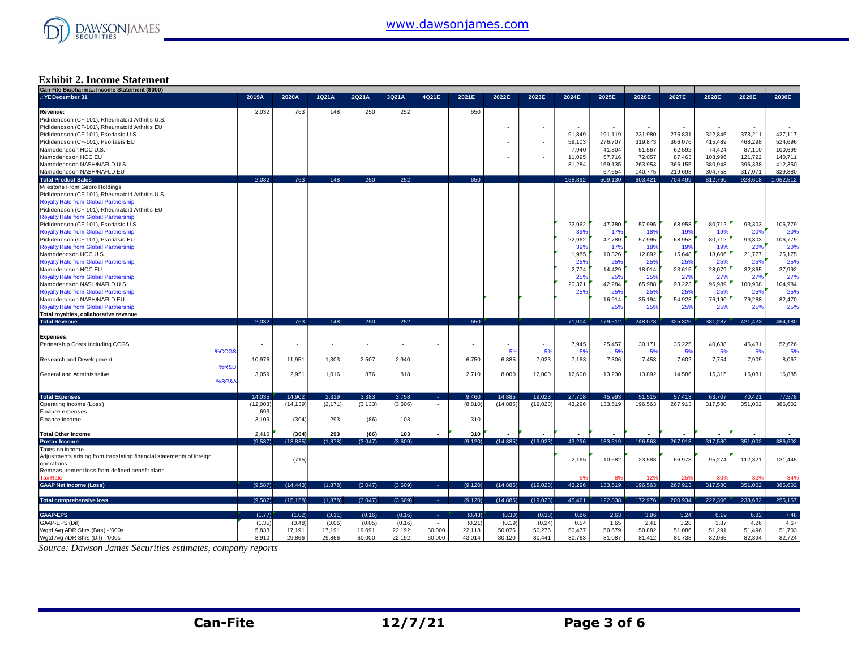

#### **Exhibit 2. Income Statement**

| Can-Fite Biopharma.: Income Statement (\$000)                        |          |           |          |          |         |                          |          |           |                |         |                               |         |                 |         |         |           |
|----------------------------------------------------------------------|----------|-----------|----------|----------|---------|--------------------------|----------|-----------|----------------|---------|-------------------------------|---------|-----------------|---------|---------|-----------|
| .: YE December 31                                                    | 2019A    | 2020A     | 1Q21A    | 2Q21A    | 3Q21A   | 4Q21E                    | 2021E    | 2022E     | 2023E          | 2024E   | 2025E                         | 2026E   | 2027E           | 2028E   | 2029E   | 2030E     |
| Revenue:                                                             | 2,032    | 763       | 148      | 250      | 252     |                          | 650      |           |                |         |                               |         |                 |         |         |           |
| Piclidenoson (CF-101), Rheumatoid Arthritis U.S.                     |          |           |          |          |         |                          |          |           |                |         |                               |         | $\sim$          |         | $\sim$  |           |
| Piclidenoson (CF-101), Rheumatoid Arthritis EU                       |          |           |          |          |         |                          |          |           |                |         | $\overline{\phantom{a}}$<br>÷ |         |                 |         | ÷       |           |
|                                                                      |          |           |          |          |         |                          |          |           |                |         |                               |         |                 |         |         |           |
| Piclidenoson (CF-101), Psoriasis U.S.                                |          |           |          |          |         |                          |          |           |                | 91,849  | 191,119                       | 231,980 | 275,831         | 322,846 | 373,211 | 427,117   |
| Piclidenoson (CF-101), Psoriasis EU                                  |          |           |          |          |         |                          |          |           |                | 59,103  | 276,707                       | 319,873 | 366,076         | 415,489 | 468,298 | 524,696   |
| Namodenoson HCC U.S.                                                 |          |           |          |          |         |                          |          |           |                | 7,940   | 41,304                        | 51,567  | 62,592          | 74,424  | 87,110  | 100,699   |
| Namodenoson HCC EU                                                   |          |           |          |          |         |                          |          |           |                | 11,095  | 57,716                        | 72,057  | 87,463          | 103,996 | 121,722 | 140,711   |
| Namodenoson NASH/NAFLD U.S.                                          |          |           |          |          |         |                          |          |           |                | 81,284  | 169,135                       | 263,953 | 366.155         | 380,948 | 396,338 | 412,350   |
| Namodenoson NASH/NAFLD EU                                            |          |           |          |          |         |                          |          |           |                |         | 67,654                        | 140,775 | 219.693         | 304,758 | 317,071 | 329,880   |
| <b>Total Product Sales</b>                                           | 2.032    | 763       | 148      | 250      | 252     |                          | 650      |           |                | 158.892 | 509.130                       | 603.421 | 704.499         | 812,760 | 928,618 | 1.052.512 |
| Milestone From Gebro Holdings                                        |          |           |          |          |         |                          |          |           |                |         |                               |         |                 |         |         |           |
| Piclidenoson (CF-101), Rheumatoid Arthritis U.S.                     |          |           |          |          |         |                          |          |           |                |         |                               |         |                 |         |         |           |
|                                                                      |          |           |          |          |         |                          |          |           |                |         |                               |         |                 |         |         |           |
| <b>Royalty Rate from Global Partnership</b>                          |          |           |          |          |         |                          |          |           |                |         |                               |         |                 |         |         |           |
| Piclidenoson (CF-101), Rheumatoid Arthritis EU                       |          |           |          |          |         |                          |          |           |                |         |                               |         |                 |         |         |           |
| <b>Royalty Rate from Global Partnership</b>                          |          |           |          |          |         |                          |          |           |                |         |                               |         |                 |         |         |           |
| Piclidenoson (CF-101), Psoriasis U.S.                                |          |           |          |          |         |                          |          |           |                | 22.962  | 47.780                        | 57,995  | 68,958          | 80.712  | 93,303  | 106,779   |
| <b>Royalty Rate from Global Partnership</b>                          |          |           |          |          |         |                          |          |           |                | 399     | 17%                           | 18%     | 19 <sup>°</sup> | 19%     | 20%     | 20%       |
| Piclidenoson (CF-101), Psoriasis EU                                  |          |           |          |          |         |                          |          |           |                | 22.962  | 47.780                        | 57,995  | 68,958          | 80,712  | 93,303  | 106,779   |
| <b>Royalty Rate from Global Partnership</b>                          |          |           |          |          |         |                          |          |           |                | 39%     | 17%                           | 18%     | 19%             | 19%     | 20%     | 20%       |
| Namodenoson HCC U.S.                                                 |          |           |          |          |         |                          |          |           |                | 1,985   | 10,326                        | 12,892  | 15,648          | 18,606  | 21,777  | 25,175    |
|                                                                      |          |           |          |          |         |                          |          |           |                |         |                               |         |                 |         |         |           |
| <b>Royalty Rate from Global Partnership</b>                          |          |           |          |          |         |                          |          |           |                | 25%     | 25%                           | 25%     | 25%             | 25%     | 25%     | 25%       |
| Namodenoson HCC EU                                                   |          |           |          |          |         |                          |          |           |                | 2,774   | 14,429                        | 18,014  | 23,615          | 28,079  | 32,865  | 37,992    |
| <b>Royalty Rate from Global Partnership</b>                          |          |           |          |          |         |                          |          |           |                | 25%     | 25%                           | 25%     | 27%             | 27%     | 27%     | 27%       |
| Namodenoson NASH/NAFLD U.S.                                          |          |           |          |          |         |                          |          |           |                | 20,321  | 42,284                        | 65,988  | 93,223          | 96,989  | 100,908 | 104,984   |
| <b>Royalty Rate from Global Partnership</b>                          |          |           |          |          |         |                          |          |           |                | 25%     | 25%                           | 25%     | 25%             | 25%     | 25%     | 25%       |
| Namodenoson NASH/NAFLD EU                                            |          |           |          |          |         |                          |          |           |                |         | 16,914                        | 35,194  | 54,923          | 76,190  | 79,268  | 82,470    |
| <b>Royalty Rate from Global Partnership</b>                          |          |           |          |          |         |                          |          |           |                |         | 25%                           | 25%     | 25%             | 25%     | 25%     | 25%       |
| Total royalties, collaborative revenue                               |          |           |          |          |         |                          |          |           |                |         |                               |         |                 |         |         |           |
| <b>Total Revenue</b>                                                 | 2,032    | 763       | 148      | 250      | 252     | <b>College</b>           | 650      | .         | <b>College</b> | 71,004  | 179,512                       | 248,078 | 325,325         | 381,287 | 421,423 | 464,180   |
|                                                                      |          |           |          |          |         |                          |          |           |                |         |                               |         |                 |         |         |           |
|                                                                      |          |           |          |          |         |                          |          |           |                |         |                               |         |                 |         |         |           |
| Expenses:                                                            |          |           |          |          |         |                          |          |           |                |         |                               |         |                 |         |         |           |
| Partnership Costs including COGS                                     |          | ٠         |          |          |         |                          |          |           | $\sim$         | 7,945   | 25,457                        | 30,171  | 35,225          | 40,638  | 46,431  | 52,626    |
| %COGS                                                                |          |           |          |          |         |                          |          | 5%        | 5%             | 5%      | 5%                            | 5%      | 5%              | 5%      | 5%      | 5%        |
| <b>Research and Development</b>                                      | 10,976   | 11.951    | 1.303    | 2,507    | 2.940   |                          | 6.750    | 6,885     | 7,023          | 7,163   | 7,306                         | 7,453   | 7,602           | 7,754   | 7,909   | 8,067     |
| %R&D                                                                 |          |           |          |          |         |                          |          |           |                |         |                               |         |                 |         |         |           |
| General and Administrative                                           | 3,059    | 2.951     | 1,016    | 876      | 818     |                          | 2.710    | 8,000     | 12,000         | 12,600  | 13,230                        | 13,892  | 14.586          | 15,315  | 16,081  | 16,885    |
| %SG&A                                                                |          |           |          |          |         |                          |          |           |                |         |                               |         |                 |         |         |           |
|                                                                      |          |           |          |          |         |                          |          |           |                |         |                               |         |                 |         |         |           |
| <b>Total Expenses</b>                                                | 14.035   | 14.902    | 2,319    | 3.383    | 3,758   | A.                       | 9,460    | 14,885    | 19,023         | 27,708  | 45,993                        | 51,515  | 57,413          | 63,707  | 70,421  | 77,578    |
|                                                                      |          |           |          |          |         |                          |          |           |                |         |                               |         |                 |         |         |           |
| Operating Income (Loss)                                              | (12,003) | (14, 139) | (2, 171) | (3, 133) | (3,506) | $\overline{\phantom{a}}$ | (8, 810) | (14, 885) | (19,023)       | 43,296  | 133,519                       | 196,563 | 267,913         | 317,580 | 351,002 | 386,602   |
| Finance expenses                                                     | 693      |           |          |          |         |                          |          |           |                |         |                               |         |                 |         |         |           |
| Finance income                                                       | 3,109    | (304)     | 293      | (86)     | 103     |                          | 310      |           |                |         |                               |         |                 |         |         |           |
|                                                                      |          |           |          |          |         |                          |          |           |                |         |                               |         |                 |         |         |           |
| <b>Total Other Income</b>                                            | 2,416    | (304)     | 293      | (86)     | 103     |                          | 310      |           |                |         |                               |         |                 |         |         |           |
| <b>Pretax Income</b>                                                 | (9,587)  | (13, 835) | (1,878)  | (3,047)  | (3,609) | 14.1                     | (9, 120) | (14, 885) | (19,023)       | 43,296  | 133,519                       | 196,563 | 267,913         | 317,580 | 351,002 | 386,602   |
| Taxes on income                                                      |          |           |          |          |         |                          |          |           |                |         |                               |         |                 |         |         |           |
| Adjustments arising from translating financial statements of foreign |          |           |          |          |         |                          |          |           |                |         |                               |         |                 |         |         |           |
| operations                                                           |          | (715)     |          |          |         |                          |          |           |                | 2,165   | 10,682                        | 23,588  | 66,978          | 95,274  | 112,321 | 131,445   |
| Remeasurement loss from defined benefit plans                        |          |           |          |          |         |                          |          |           |                |         |                               |         |                 |         |         |           |
| <b>Tax Rate</b>                                                      |          |           |          |          |         |                          |          |           |                | 59      |                               |         | 25%             |         | 32%     | 34%       |
|                                                                      |          |           |          |          |         |                          |          |           |                |         |                               |         |                 |         |         |           |
| <b>GAAP Net Income (Loss)</b>                                        | (9.587)  | (14.443)  | (1,878)  | (3,047)  | (3,609) | <b>College</b>           | (9, 120) | (14, 885) | (19,023)       | 43.296  | 133.519                       | 196.563 | 267,913         | 317,580 | 351,002 | 386,602   |
|                                                                      |          |           |          |          |         |                          |          |           |                |         |                               |         |                 |         |         |           |
| <b>Total comprehensive loss</b>                                      | (9.587)  | (15, 158) | (1,878)  | (3,047)  | (3,609) | <b>Service</b>           | (9, 120) | (14, 885) | (19,023)       | 45,461  | 122,838                       | 172,976 | 200.934         | 222.306 | 238.682 | 255,157   |
|                                                                      |          |           |          |          |         |                          |          |           |                |         |                               |         |                 |         |         |           |
| GAAP-EPS                                                             | (1.77)   | (1.02)    | (0.11)   | (0.16)   | (0.16)  | . .                      | (0.43)   | (0.30)    | (0.38)         | 0.86    | 2.63                          | 3.86    | 5.24            | 6.19    | 6.82    | 7.48      |
| GAAP-EPS (Dil)                                                       | (1.35)   | (0.48)    | (0.06)   | (0.05)   | (0.16)  | $\sim$                   | (0.21)   | (0.19)    | (0.24)         | 0.54    | 1.65                          | 2.41    | 3.28            | 3.87    | 4.26    | 4.67      |
| Wgtd Avg ADR Shrs (Bas) - '000s                                      | 5,833    | 17,191    | 17,191   | 19,091   | 22,192  | 30,000                   | 22,118   | 50,075    | 50,276         | 50,477  | 50,679                        | 50,882  | 51,086          | 51,291  | 51,496  | 51,703    |
| Wgtd Avg ADR Shrs (Dil) - '000s                                      | 8.910    | 29,866    | 29,866   | 60,000   | 22,192  | 60,000                   | 43,014   | 80,120    | 80,441         | 80,763  | 81,087                        | 81,412  | 81,738          | 82,065  | 82.394  | 82,724    |
|                                                                      |          |           |          |          |         |                          |          |           |                |         |                               |         |                 |         |         |           |

*Source: Dawson James Securities estimates, company reports*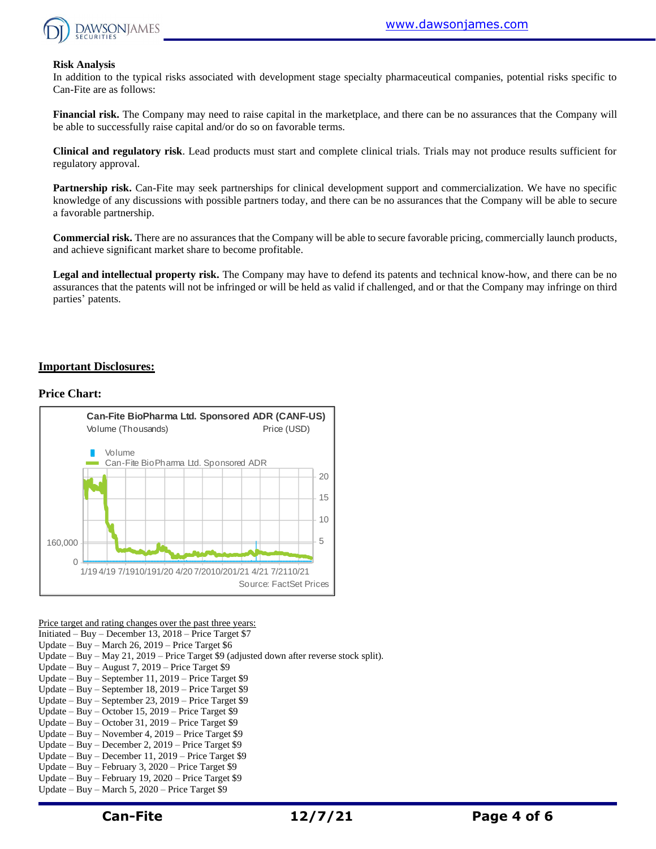

#### **Risk Analysis**

In addition to the typical risks associated with development stage specialty pharmaceutical companies, potential risks specific to Can-Fite are as follows:

**Financial risk.** The Company may need to raise capital in the marketplace, and there can be no assurances that the Company will be able to successfully raise capital and/or do so on favorable terms.

**Clinical and regulatory risk**. Lead products must start and complete clinical trials. Trials may not produce results sufficient for regulatory approval.

**Partnership risk.** Can-Fite may seek partnerships for clinical development support and commercialization. We have no specific knowledge of any discussions with possible partners today, and there can be no assurances that the Company will be able to secure a favorable partnership.

**Commercial risk.** There are no assurances that the Company will be able to secure favorable pricing, commercially launch products, and achieve significant market share to become profitable.

**Legal and intellectual property risk.** The Company may have to defend its patents and technical know-how, and there can be no assurances that the patents will not be infringed or will be held as valid if challenged, and or that the Company may infringe on third parties' patents.

#### **Important Disclosures:**

#### **Price Chart:**



Price target and rating changes over the past three years:

Initiated – Buy – December 13, 2018 – Price Target \$7

Update – Buy – March 26, 2019 – Price Target \$6

Update – Buy – May 21, 2019 – Price Target \$9 (adjusted down after reverse stock split).

- Update Buy August 7, 2019 Price Target \$9
- Update Buy September 11, 2019 Price Target \$9
- Update Buy September 18, 2019 Price Target \$9
- Update Buy September 23, 2019 Price Target \$9
- Update Buy October 15, 2019 Price Target \$9
- Update Buy October 31, 2019 Price Target \$9
- Update Buy November 4, 2019 Price Target \$9 Update – Buy – December 2, 2019 – Price Target \$9
- Update Buy December 11, 2019 Price Target \$9
- Update Buy February 3, 2020 Price Target \$9
- Update Buy February 19, 2020 Price Target \$9
- Update Buy March 5, 2020 Price Target \$9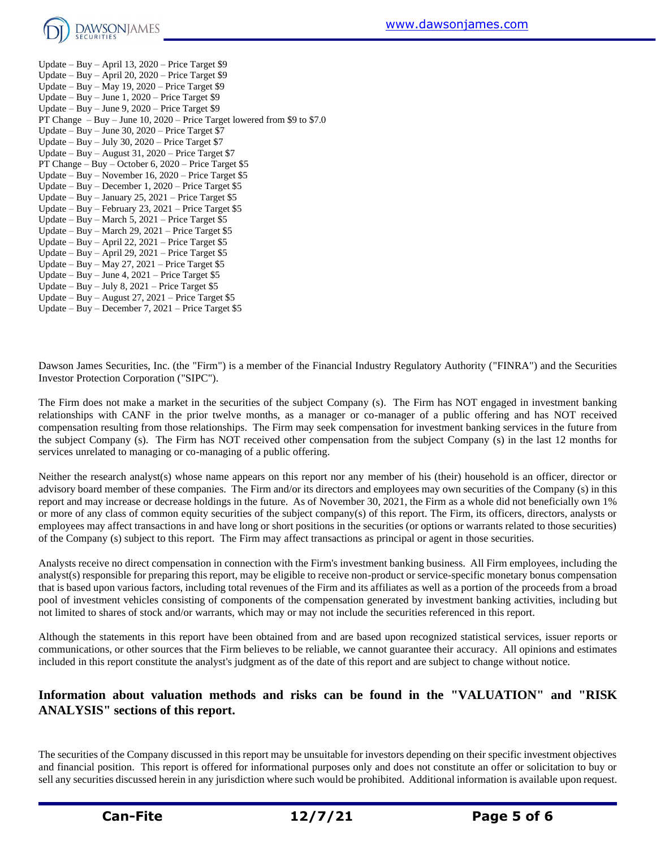

Update – Buy – April 13, 2020 – Price Target \$9 Update – Buy – April 20, 2020 – Price Target \$9 Update – Buy – May 19, 2020 – Price Target \$9 Update – Buy – June 1, 2020 – Price Target \$9 Update – Buy – June 9, 2020 – Price Target \$9 PT Change – Buy – June 10, 2020 – Price Target lowered from \$9 to \$7.0 Update – Buy – June 30, 2020 – Price Target \$7 Update – Buy – July 30, 2020 – Price Target \$7 Update – Buy – August 31, 2020 – Price Target \$7 PT Change – Buy – October 6, 2020 – Price Target \$5 Update – Buy – November 16, 2020 – Price Target \$5 Update – Buy – December 1, 2020 – Price Target \$5 Update – Buy – January 25, 2021 – Price Target  $$5$ Update – Buy – February 23, 2021 – Price Target \$5 Update – Buy – March 5, 2021 – Price Target \$5 Update – Buy – March 29, 2021 – Price Target \$5 Update – Buy – April 22, 2021 – Price Target \$5 Update – Buy – April 29, 2021 – Price Target \$5 Update – Buy – May 27, 2021 – Price Target \$5 Update – Buy – June 4, 2021 – Price Target \$5 Update – Buy – July 8,  $2021$  – Price Target \$5 Update – Buy – August 27, 2021 – Price Target \$5 Update – Buy – December 7, 2021 – Price Target \$5

Dawson James Securities, Inc. (the "Firm") is a member of the Financial Industry Regulatory Authority ("FINRA") and the Securities Investor Protection Corporation ("SIPC").

The Firm does not make a market in the securities of the subject Company (s). The Firm has NOT engaged in investment banking relationships with CANF in the prior twelve months, as a manager or co-manager of a public offering and has NOT received compensation resulting from those relationships. The Firm may seek compensation for investment banking services in the future from the subject Company (s). The Firm has NOT received other compensation from the subject Company (s) in the last 12 months for services unrelated to managing or co-managing of a public offering.

Neither the research analyst(s) whose name appears on this report nor any member of his (their) household is an officer, director or advisory board member of these companies. The Firm and/or its directors and employees may own securities of the Company (s) in this report and may increase or decrease holdings in the future. As of November 30, 2021, the Firm as a whole did not beneficially own 1% or more of any class of common equity securities of the subject company(s) of this report. The Firm, its officers, directors, analysts or employees may affect transactions in and have long or short positions in the securities (or options or warrants related to those securities) of the Company (s) subject to this report. The Firm may affect transactions as principal or agent in those securities.

Analysts receive no direct compensation in connection with the Firm's investment banking business. All Firm employees, including the analyst(s) responsible for preparing this report, may be eligible to receive non-product or service-specific monetary bonus compensation that is based upon various factors, including total revenues of the Firm and its affiliates as well as a portion of the proceeds from a broad pool of investment vehicles consisting of components of the compensation generated by investment banking activities, including but not limited to shares of stock and/or warrants, which may or may not include the securities referenced in this report.

Although the statements in this report have been obtained from and are based upon recognized statistical services, issuer reports or communications, or other sources that the Firm believes to be reliable, we cannot guarantee their accuracy. All opinions and estimates included in this report constitute the analyst's judgment as of the date of this report and are subject to change without notice.

## **Information about valuation methods and risks can be found in the "VALUATION" and "RISK ANALYSIS" sections of this report.**

The securities of the Company discussed in this report may be unsuitable for investors depending on their specific investment objectives and financial position. This report is offered for informational purposes only and does not constitute an offer or solicitation to buy or sell any securities discussed herein in any jurisdiction where such would be prohibited. Additional information is available upon request.